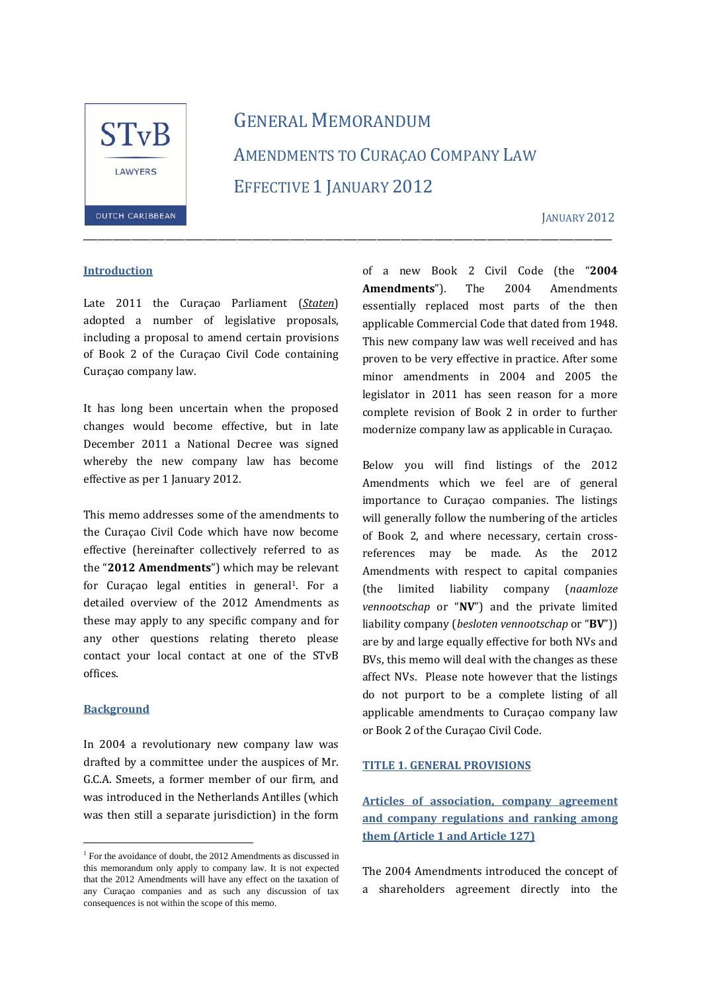

# GENERAL MEMORANDUM AMENDMENTS TO CURACAO COMPANY LAW EFFECTIVE 1 JANUARY 2012

\_\_\_\_\_\_\_\_\_\_\_\_\_\_\_\_\_\_\_\_\_\_\_\_\_\_\_\_\_\_\_\_\_\_\_\_\_\_\_\_\_\_\_\_\_\_\_\_\_\_\_\_\_\_\_\_\_\_\_\_\_\_\_\_\_\_\_\_\_\_\_\_\_\_\_\_\_\_\_\_\_\_\_\_\_\_\_\_\_\_\_\_\_\_\_\_\_\_\_\_\_\_\_\_\_\_\_\_\_\_ 

**JANUARY 2012** 

#### **Introduction**

Late 2011 the Curaçao Parliament (*Staten*) adopted a number of legislative proposals, including a proposal to amend certain provisions of Book 2 of the Curaçao Civil Code containing Curaçao company law. 

It has long been uncertain when the proposed changes would become effective, but in late December 2011 a National Decree was signed whereby the new company law has become effective as per 1 January 2012.

This memo addresses some of the amendments to the Curaçao Civil Code which have now become effective (hereinafter collectively referred to as the "2012 Amendments") which may be relevant for Curaçao legal entities in general<sup>1</sup>. For a detailed overview of the 2012 Amendments as these may apply to any specific company and for any other questions relating thereto please contact your local contact at one of the STvB offices. 

#### **Background**

i

In 2004 a revolutionary new company law was drafted by a committee under the auspices of Mr. G.C.A. Smeets, a former member of our firm, and was introduced in the Netherlands Antilles (which was then still a separate jurisdiction) in the form of a new Book 2 Civil Code (the "**2004** Amendments"). The 2004 Amendments essentially replaced most parts of the then applicable Commercial Code that dated from 1948. This new company law was well received and has proven to be very effective in practice. After some minor amendments in 2004 and 2005 the legislator in 2011 has seen reason for a more complete revision of Book 2 in order to further modernize company law as applicable in Curaçao.

Below you will find listings of the 2012 Amendments which we feel are of general importance to Curaçao companies. The listings will generally follow the numbering of the articles of Book 2, and where necessary, certain crossreferences may be made. As the 2012 Amendments with respect to capital companies (the limited liability company (*naamloze vennootschap* or "NV") and the private limited liability company (*besloten vennootschap* or "**BV**")) are by and large equally effective for both NVs and BVs, this memo will deal with the changes as these affect NVs. Please note however that the listings do not purport to be a complete listing of all applicable amendments to Curaçao company law or Book 2 of the Curaçao Civil Code.

#### **TITLE 1. GENERAL PROVISIONS**

**Articles of association, company agreement and company regulations and ranking among them (Article 1 and Article 127)**

The 2004 Amendments introduced the concept of a shareholders agreement directly into the

<sup>&</sup>lt;sup>1</sup> For the avoidance of doubt, the 2012 Amendments as discussed in this memorandum only apply to company law. It is not expected that the 2012 Amendments will have any effect on the taxation of any Curaçao companies and as such any discussion of tax consequences is not within the scope of this memo.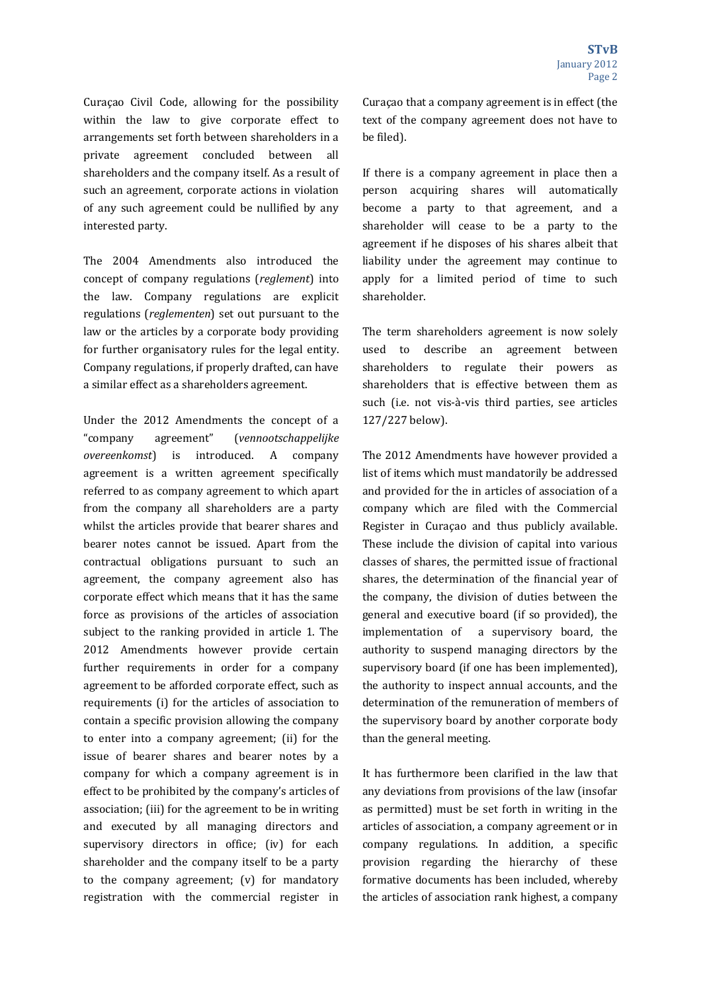Curaçao Civil Code, allowing for the possibility within the law to give corporate effect to arrangements set forth between shareholders in a private agreement concluded between all shareholders and the company itself. As a result of such an agreement, corporate actions in violation of any such agreement could be nullified by any interested party.

The 2004 Amendments also introduced the concept of company regulations (*reglement*) into the law. Company regulations are explicit regulations (*reglementen*) set out pursuant to the law or the articles by a corporate body providing for further organisatory rules for the legal entity. Company regulations, if properly drafted, can have a similar effect as a shareholders agreement.

Under the 2012 Amendments the concept of a "company agreement" (*vennootschappelijke overeenkomst*) is introduced. A company agreement is a written agreement specifically referred to as company agreement to which apart from the company all shareholders are a party whilst the articles provide that bearer shares and bearer notes cannot be issued. Apart from the contractual obligations pursuant to such an agreement, the company agreement also has corporate effect which means that it has the same force as provisions of the articles of association subject to the ranking provided in article 1. The 2012 Amendments however provide certain further requirements in order for a company agreement to be afforded corporate effect, such as requirements (i) for the articles of association to contain a specific provision allowing the company to enter into a company agreement; (ii) for the issue of bearer shares and bearer notes by a company for which a company agreement is in effect to be prohibited by the company's articles of association: (iii) for the agreement to be in writing and executed by all managing directors and supervisory directors in office; (iv) for each shareholder and the company itself to be a party to the company agreement;  $(v)$  for mandatory registration with the commercial register in

Curaçao that a company agreement is in effect (the text of the company agreement does not have to be filed).

If there is a company agreement in place then a person acquiring shares will automatically become a party to that agreement, and a shareholder will cease to be a party to the agreement if he disposes of his shares albeit that liability under the agreement may continue to apply for a limited period of time to such shareholder. 

The term shareholders agreement is now solely used to describe an agreement between shareholders to regulate their powers as shareholders that is effective between them as such (i.e. not vis-à-vis third parties, see articles 127/227 below). 

The 2012 Amendments have however provided a list of items which must mandatorily be addressed and provided for the in articles of association of a company which are filed with the Commercial Register in Curaçao and thus publicly available. These include the division of capital into various classes of shares, the permitted issue of fractional shares, the determination of the financial year of the company, the division of duties between the general and executive board (if so provided), the implementation of a supervisory board, the authority to suspend managing directors by the supervisory board (if one has been implemented), the authority to inspect annual accounts, and the determination of the remuneration of members of the supervisory board by another corporate body than the general meeting.

It has furthermore been clarified in the law that any deviations from provisions of the law (insofar as permitted) must be set forth in writing in the articles of association, a company agreement or in company regulations. In addition, a specific provision regarding the hierarchy of these formative documents has been included, whereby the articles of association rank highest, a company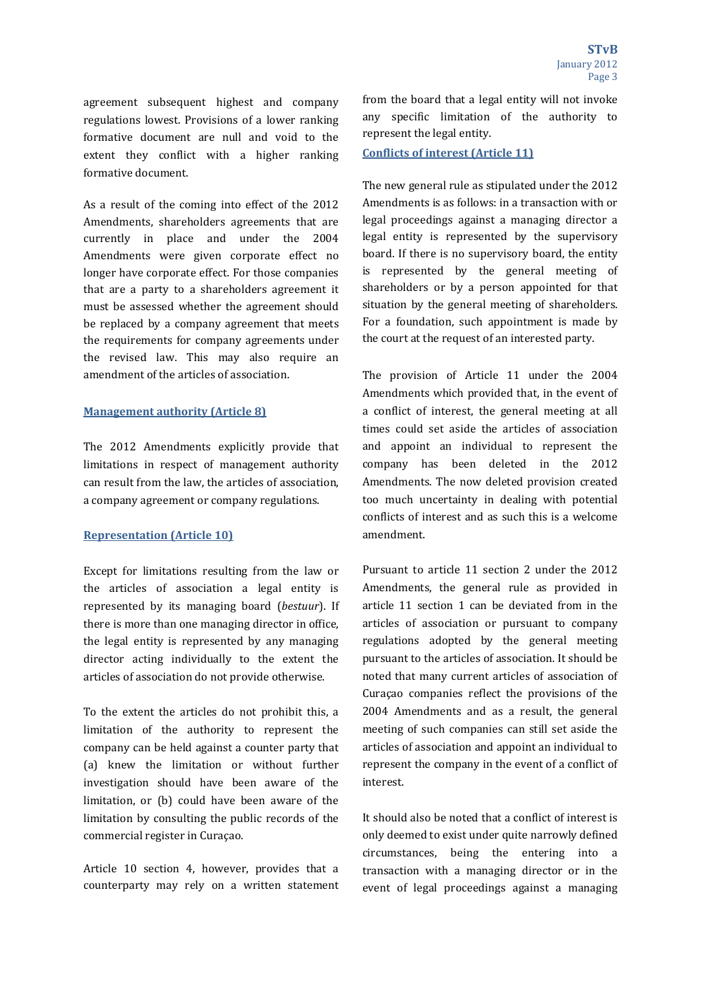agreement subsequent highest and company regulations lowest. Provisions of a lower ranking formative document are null and void to the extent they conflict with a higher ranking formative document.

As a result of the coming into effect of the 2012 Amendments, shareholders agreements that are currently in place and under the 2004 Amendments were given corporate effect no longer have corporate effect. For those companies that are a party to a shareholders agreement it must be assessed whether the agreement should be replaced by a company agreement that meets the requirements for company agreements under the revised law. This may also require an amendment of the articles of association.

## **Management authority (Article 8)**

The 2012 Amendments explicitly provide that limitations in respect of management authority can result from the law, the articles of association, a company agreement or company regulations.

#### **Representation (Article 10)**

Except for limitations resulting from the law or the articles of association a legal entity is represented by its managing board (*bestuur*). If there is more than one managing director in office, the legal entity is represented by any managing director acting individually to the extent the articles of association do not provide otherwise.

To the extent the articles do not prohibit this, a limitation of the authority to represent the company can be held against a counter party that (a) knew the limitation or without further investigation should have been aware of the limitation, or (b) could have been aware of the limitation by consulting the public records of the commercial register in Curaçao.

Article 10 section 4, however, provides that a counterparty may rely on a written statement from the board that a legal entity will not invoke any specific limitation of the authority to represent the legal entity.

#### **Conflicts of interest (Article 11)**

The new general rule as stipulated under the 2012 Amendments is as follows: in a transaction with or legal proceedings against a managing director a legal entity is represented by the supervisory board. If there is no supervisory board, the entity is represented by the general meeting of shareholders or by a person appointed for that situation by the general meeting of shareholders. For a foundation, such appointment is made by the court at the request of an interested party.

The provision of Article 11 under the 2004 Amendments which provided that, in the event of a conflict of interest, the general meeting at all times could set aside the articles of association and appoint an individual to represent the company has been deleted in the 2012 Amendments. The now deleted provision created too much uncertainty in dealing with potential conflicts of interest and as such this is a welcome amendment. 

Pursuant to article 11 section 2 under the 2012 Amendments, the general rule as provided in article 11 section 1 can be deviated from in the articles of association or pursuant to company regulations adopted by the general meeting pursuant to the articles of association. It should be noted that many current articles of association of Curaçao companies reflect the provisions of the 2004 Amendments and as a result, the general meeting of such companies can still set aside the articles of association and appoint an individual to represent the company in the event of a conflict of interest. 

It should also be noted that a conflict of interest is only deemed to exist under quite narrowly defined circumstances, being the entering into a transaction with a managing director or in the event of legal proceedings against a managing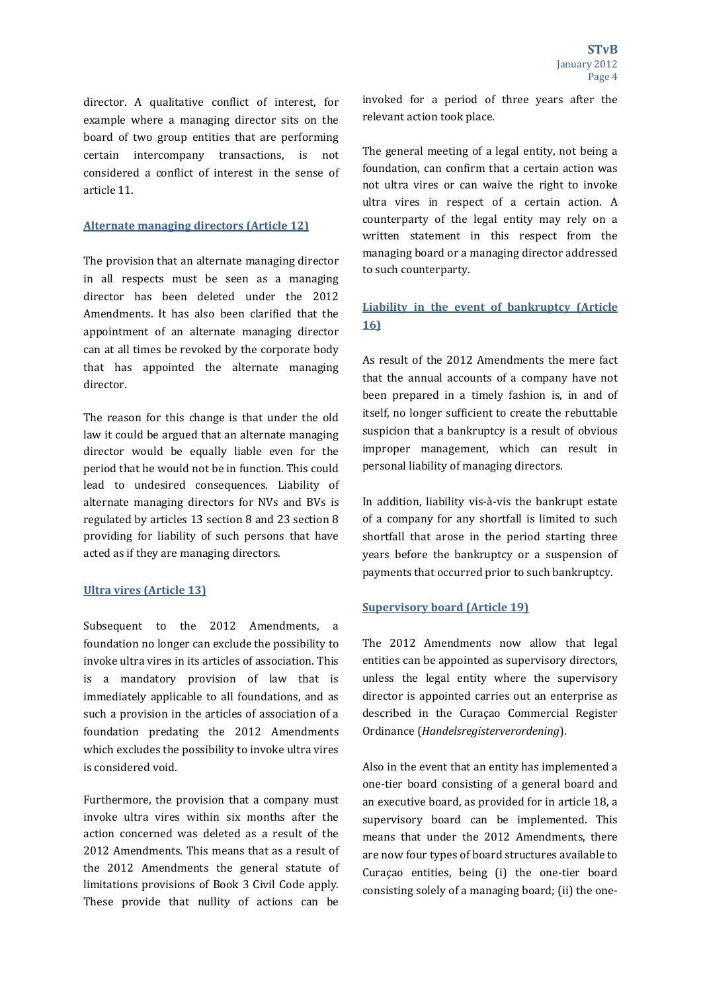director. A qualitative conflict of interest, for example where a managing director sits on the board of two group entities that are performing certain intercompany transactions, is not considered a conflict of interest in the sense of article 11. 

### **Alternate managing directors (Article 12)**

The provision that an alternate managing director in all respects must be seen as a managing director has been deleted under the 2012 Amendments. It has also been clarified that the appointment of an alternate managing director can at all times be revoked by the corporate body that has appointed the alternate managing director. 

The reason for this change is that under the old law it could be argued that an alternate managing director would be equally liable even for the period that he would not be in function. This could lead to undesired consequences. Liability of alternate managing directors for NVs and BVs is regulated by articles 13 section 8 and 23 section 8 providing for liability of such persons that have acted as if they are managing directors.

### **Ultra vires (Article 13)**

Subsequent to the 2012 Amendments, a foundation no longer can exclude the possibility to invoke ultra vires in its articles of association. This is a mandatory provision of law that is immediately applicable to all foundations, and as such a provision in the articles of association of a foundation predating the 2012 Amendments which excludes the possibility to invoke ultra vires is considered void.

Furthermore, the provision that a company must invoke ultra vires within six months after the action concerned was deleted as a result of the 2012 Amendments. This means that as a result of the 2012 Amendments the general statute of limitations provisions of Book 3 Civil Code apply. These provide that nullity of actions can be invoked for a period of three years after the relevant action took place.

The general meeting of a legal entity, not being a foundation, can confirm that a certain action was not ultra vires or can waive the right to invoke ultra vires in respect of a certain action. A counterparty of the legal entity may rely on a written statement in this respect from the managing board or a managing director addressed to such counterparty.

## **Liability in the event of bankruptcy (Article 16)**

As result of the 2012 Amendments the mere fact that the annual accounts of a company have not been prepared in a timely fashion is, in and of itself, no longer sufficient to create the rebuttable suspicion that a bankruptcy is a result of obvious improper management, which can result in personal liability of managing directors.

In addition, liability vis-à-vis the bankrupt estate of a company for any shortfall is limited to such shortfall that arose in the period starting three years before the bankruptcy or a suspension of payments that occurred prior to such bankruptcy.

### **Supervisory board (Article 19)**

The 2012 Amendments now allow that legal entities can be appointed as supervisory directors, unless the legal entity where the supervisory director is appointed carries out an enterprise as described in the Curaçao Commercial Register Ordinance (*Handelsregisterverordening*).

Also in the event that an entity has implemented a one-tier board consisting of a general board and an executive board, as provided for in article 18, a supervisory board can be implemented. This means that under the 2012 Amendments, there are now four types of board structures available to Curacao entities, being (i) the one-tier board consisting solely of a managing board; (ii) the one-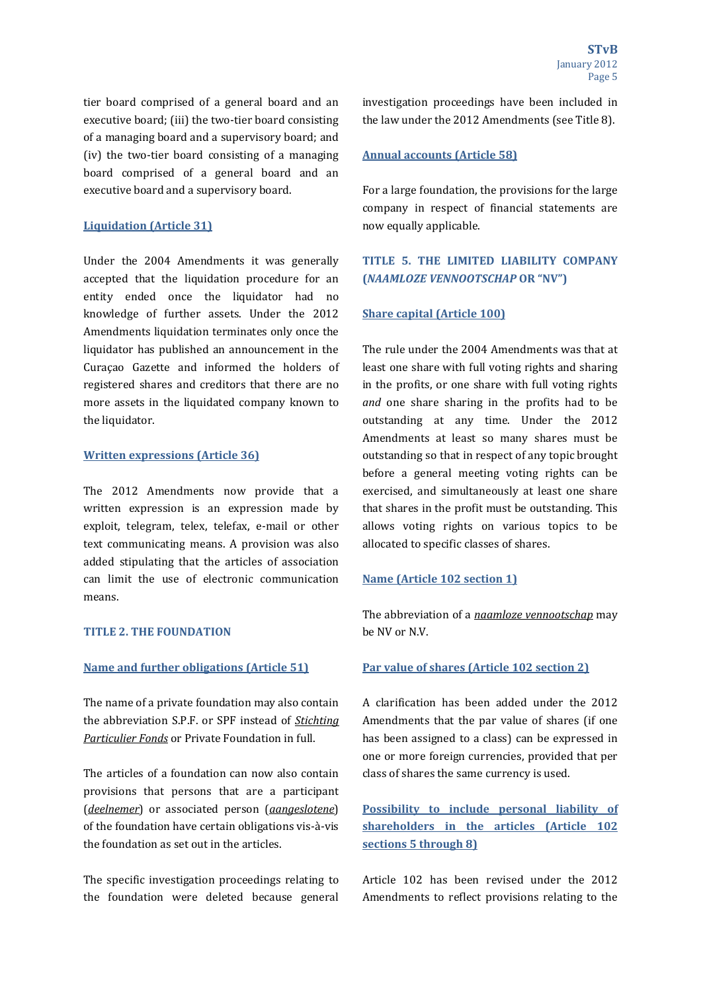tier board comprised of a general board and an executive board; (iii) the two-tier board consisting of a managing board and a supervisory board; and (iv) the two-tier board consisting of a managing board comprised of a general board and an executive board and a supervisory board.

## **Liquidation (Article 31)**

Under the 2004 Amendments it was generally accepted that the liquidation procedure for an entity ended once the liquidator had no knowledge of further assets. Under the 2012 Amendments liquidation terminates only once the liquidator has published an announcement in the Curaçao Gazette and informed the holders of registered shares and creditors that there are no more assets in the liquidated company known to the liquidator.

### **Written expressions (Article 36)**

The 2012 Amendments now provide that a written expression is an expression made by exploit, telegram, telex, telefax, e-mail or other text communicating means. A provision was also added stipulating that the articles of association can limit the use of electronic communication means. 

#### **TITLE 2. THE FOUNDATION**

#### **Name and further obligations (Article 51)**

The name of a private foundation may also contain the abbreviation S.P.F. or SPF instead of *Stichting* **Particulier Fonds** or Private Foundation in full.

The articles of a foundation can now also contain provisions that persons that are a participant (*deelnemer*) or associated person (*gangeslotene*) of the foundation have certain obligations vis-à-vis the foundation as set out in the articles.

The specific investigation proceedings relating to the foundation were deleted because general investigation proceedings have been included in the law under the 2012 Amendments (see Title 8).

#### **Annual accounts (Article 58)**

For a large foundation, the provisions for the large company in respect of financial statements are now equally applicable. 

## **TITLE 5. THE LIMITED LIABILITY COMPANY (***NAAMLOZE VENNOOTSCHAP* **OR "NV")**

#### **Share capital (Article 100)**

The rule under the 2004 Amendments was that at least one share with full voting rights and sharing in the profits, or one share with full voting rights *and* one share sharing in the profits had to be outstanding at any time. Under the 2012 Amendments at least so many shares must be outstanding so that in respect of any topic brought before a general meeting voting rights can be exercised, and simultaneously at least one share that shares in the profit must be outstanding. This allows voting rights on various topics to be allocated to specific classes of shares.

#### **Name (Article 102 section 1)**

The abbreviation of a *naamloze vennootschap* may be NV or N.V.

#### **Par value of shares (Article 102 section 2)**

A clarification has been added under the 2012 Amendments that the par value of shares (if one has been assigned to a class) can be expressed in one or more foreign currencies, provided that per class of shares the same currency is used.

**Possibility to include personal liability of shareholders in the articles (Article 102 sections 5 through 8)**

Article 102 has been revised under the 2012 Amendments to reflect provisions relating to the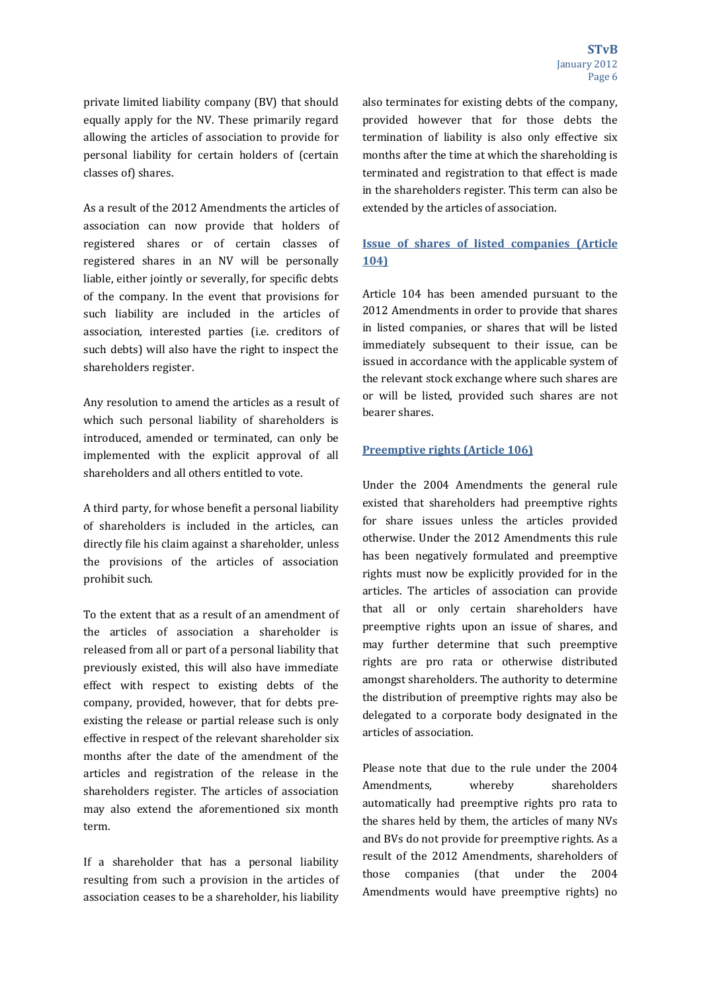private limited liability company (BV) that should equally apply for the NV. These primarily regard allowing the articles of association to provide for personal liability for certain holders of (certain classes of) shares.

As a result of the 2012 Amendments the articles of association can now provide that holders of registered shares or of certain classes of registered shares in an NV will be personally liable, either jointly or severally, for specific debts of the company. In the event that provisions for such liability are included in the articles of association, interested parties (i.e. creditors of such debts) will also have the right to inspect the shareholders register.

Any resolution to amend the articles as a result of which such personal liability of shareholders is introduced, amended or terminated, can only be implemented with the explicit approval of all shareholders and all others entitled to vote.

A third party, for whose benefit a personal liability of shareholders is included in the articles, can directly file his claim against a shareholder, unless the provisions of the articles of association prohibit such.

To the extent that as a result of an amendment of the articles of association a shareholder is released from all or part of a personal liability that previously existed, this will also have immediate effect with respect to existing debts of the company, provided, however, that for debts preexisting the release or partial release such is only effective in respect of the relevant shareholder six months after the date of the amendment of the articles and registration of the release in the shareholders register. The articles of association may also extend the aforementioned six month term. 

If a shareholder that has a personal liability resulting from such a provision in the articles of association ceases to be a shareholder, his liability

also terminates for existing debts of the company, provided however that for those debts the termination of liability is also only effective six months after the time at which the shareholding is terminated and registration to that effect is made in the shareholders register. This term can also be extended by the articles of association.

## **Issue of shares of listed companies (Article 104)**

Article 104 has been amended pursuant to the 2012 Amendments in order to provide that shares in listed companies, or shares that will be listed immediately subsequent to their issue, can be issued in accordance with the applicable system of the relevant stock exchange where such shares are or will be listed, provided such shares are not bearer shares.

## **Preemptive rights (Article 106)**

Under the 2004 Amendments the general rule existed that shareholders had preemptive rights for share issues unless the articles provided otherwise. Under the 2012 Amendments this rule has been negatively formulated and preemptive rights must now be explicitly provided for in the articles. The articles of association can provide that all or only certain shareholders have preemptive rights upon an issue of shares, and may further determine that such preemptive rights are pro rata or otherwise distributed amongst shareholders. The authority to determine the distribution of preemptive rights may also be delegated to a corporate body designated in the articles of association.

Please note that due to the rule under the 2004 Amendments, whereby shareholders automatically had preemptive rights pro rata to the shares held by them, the articles of many NVs and BVs do not provide for preemptive rights. As a result of the 2012 Amendments, shareholders of those companies (that under the 2004 Amendments would have preemptive rights) no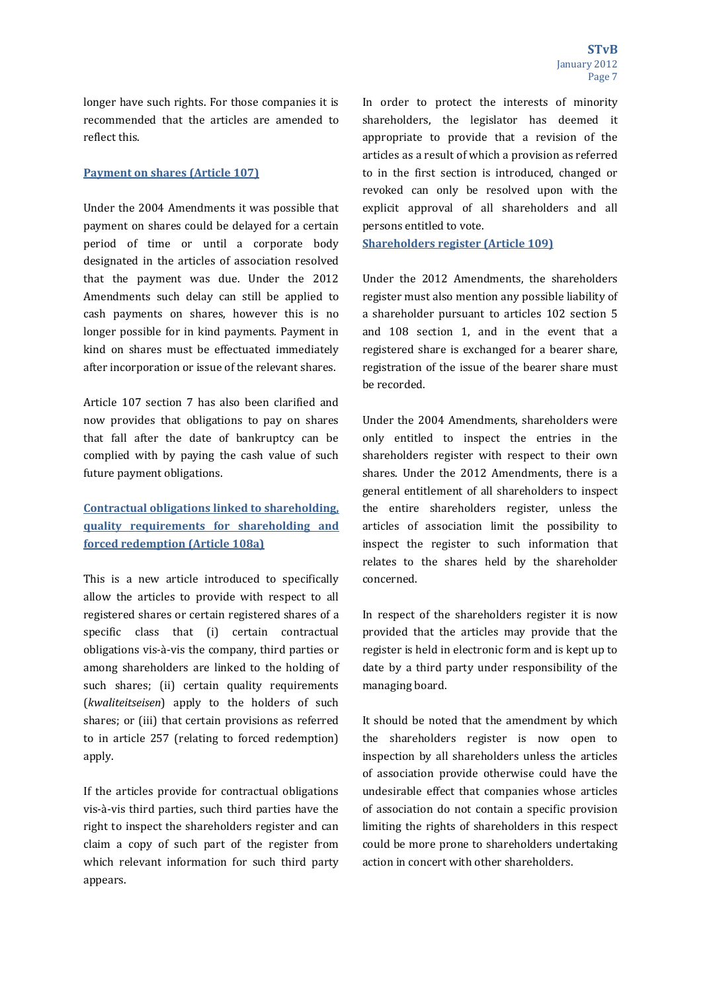longer have such rights. For those companies it is recommended that the articles are amended to reflect this.

## **Payment on shares (Article 107)**

Under the 2004 Amendments it was possible that payment on shares could be delayed for a certain period of time or until a corporate body designated in the articles of association resolved that the payment was due. Under the 2012 Amendments such delay can still be applied to cash payments on shares, however this is no longer possible for in kind payments. Payment in kind on shares must be effectuated immediately after incorporation or issue of the relevant shares.

Article 107 section 7 has also been clarified and now provides that obligations to pay on shares that fall after the date of bankruptcy can be complied with by paying the cash value of such future payment obligations.

## **Contractual obligations linked to shareholding, quality requirements for shareholding and forced redemption (Article 108a)**

This is a new article introduced to specifically allow the articles to provide with respect to all registered shares or certain registered shares of a specific class that (i) certain contractual obligations vis-à-vis the company, third parties or among shareholders are linked to the holding of such shares; (ii) certain quality requirements (*kwaliteitseisen*) apply to the holders of such shares; or (iii) that certain provisions as referred to in article 257 (relating to forced redemption) apply. 

If the articles provide for contractual obligations vis-à-vis third parties, such third parties have the right to inspect the shareholders register and can claim a copy of such part of the register from which relevant information for such third party appears. 

In order to protect the interests of minority shareholders, the legislator has deemed it appropriate to provide that a revision of the articles as a result of which a provision as referred to in the first section is introduced, changed or revoked can only be resolved upon with the explicit approval of all shareholders and all persons entitled to vote.

**Shareholders register (Article 109)**

Under the 2012 Amendments, the shareholders register must also mention any possible liability of a shareholder pursuant to articles 102 section 5 and 108 section 1, and in the event that a registered share is exchanged for a bearer share, registration of the issue of the bearer share must be recorded. 

Under the 2004 Amendments, shareholders were only entitled to inspect the entries in the shareholders register with respect to their own shares. Under the 2012 Amendments, there is a general entitlement of all shareholders to inspect the entire shareholders register, unless the articles of association limit the possibility to inspect the register to such information that relates to the shares held by the shareholder concerned. 

In respect of the shareholders register it is now provided that the articles may provide that the register is held in electronic form and is kept up to date by a third party under responsibility of the managing board.

It should be noted that the amendment by which the shareholders register is now open to inspection by all shareholders unless the articles of association provide otherwise could have the undesirable effect that companies whose articles of association do not contain a specific provision limiting the rights of shareholders in this respect could be more prone to shareholders undertaking action in concert with other shareholders.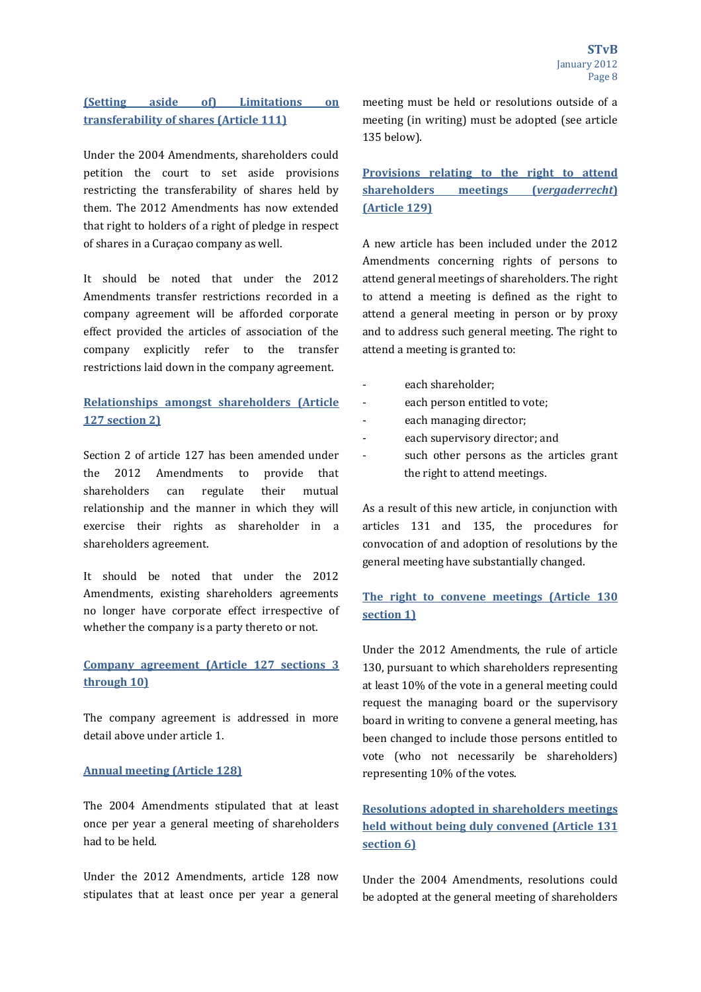## **(Setting aside of) Limitations on transferability of shares (Article 111)**

Under the 2004 Amendments, shareholders could petition the court to set aside provisions restricting the transferability of shares held by them. The 2012 Amendments has now extended that right to holders of a right of pledge in respect of shares in a Curaçao company as well.

It should be noted that under the 2012 Amendments transfer restrictions recorded in a company agreement will be afforded corporate effect provided the articles of association of the company explicitly refer to the transfer restrictions laid down in the company agreement.

## **Relationships amongst shareholders (Article 127 section 2)**

Section 2 of article 127 has been amended under the 2012 Amendments to provide that shareholders can regulate their mutual relationship and the manner in which they will exercise their rights as shareholder in a shareholders agreement.

It should be noted that under the 2012 Amendments, existing shareholders agreements no longer have corporate effect irrespective of whether the company is a party thereto or not.

## **Company agreement (Article 127 sections 3 through 10)**

The company agreement is addressed in more detail above under article 1

## **Annual meeting (Article 128)**

The 2004 Amendments stipulated that at least once per year a general meeting of shareholders had to be held.

Under the 2012 Amendments, article 128 now stipulates that at least once per year a general meeting must be held or resolutions outside of a meeting (in writing) must be adopted (see article 135 below). 

## **Provisions relating to the right to attend shareholders meetings (***vergaderrecht***) (Article 129)**

A new article has been included under the 2012 Amendments concerning rights of persons to attend general meetings of shareholders. The right to attend a meeting is defined as the right to attend a general meeting in person or by proxy and to address such general meeting. The right to attend a meeting is granted to:

- each shareholder:
- each person entitled to vote;
- each managing director;
- each supervisory director; and
- such other persons as the articles grant the right to attend meetings.

As a result of this new article, in conjunction with articles 131 and 135, the procedures for convocation of and adoption of resolutions by the general meeting have substantially changed.

## **The right to convene meetings (Article 130 section 1)**

Under the 2012 Amendments, the rule of article 130, pursuant to which shareholders representing at least 10% of the vote in a general meeting could request the managing board or the supervisory board in writing to convene a general meeting, has been changed to include those persons entitled to vote (who not necessarily be shareholders) representing 10% of the votes.

# **Resolutions adopted in shareholders meetings held without being duly convened (Article 131 section 6)**

Under the 2004 Amendments, resolutions could be adopted at the general meeting of shareholders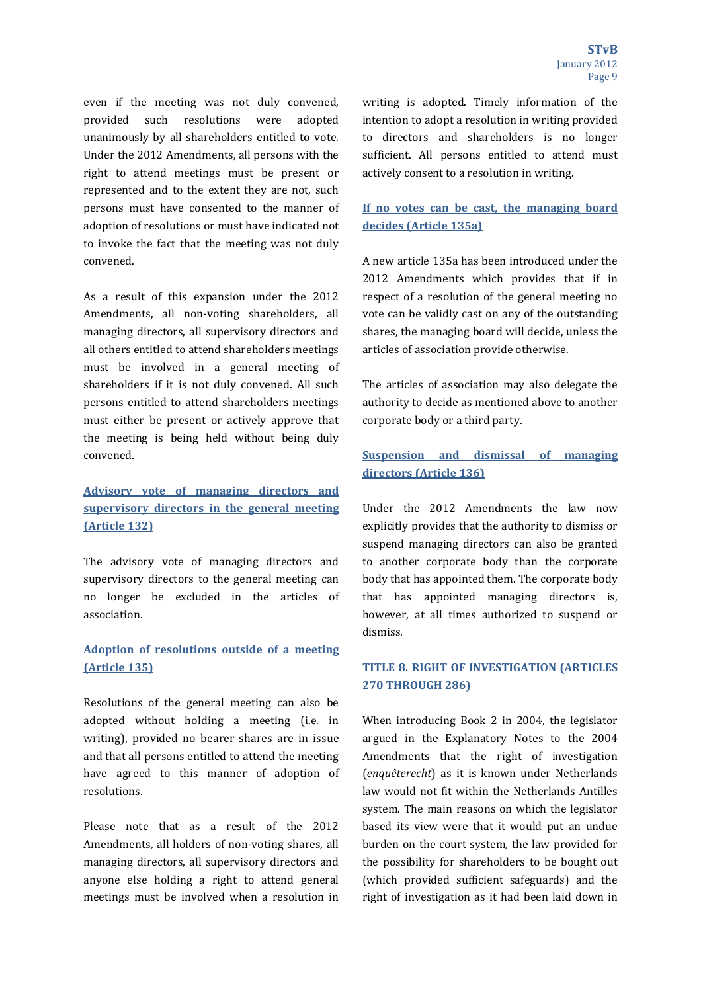even if the meeting was not duly convened, provided such resolutions were adopted unanimously by all shareholders entitled to vote. Under the 2012 Amendments, all persons with the right to attend meetings must be present or represented and to the extent they are not, such persons must have consented to the manner of adoption of resolutions or must have indicated not to invoke the fact that the meeting was not duly convened. 

As a result of this expansion under the 2012 Amendments, all non-voting shareholders, all managing directors, all supervisory directors and all others entitled to attend shareholders meetings must be involved in a general meeting of shareholders if it is not duly convened. All such persons entitled to attend shareholders meetings must either be present or actively approve that the meeting is being held without being duly convened. 

# **Advisory vote of managing directors and supervisory directors in the general meeting (Article 132)**

The advisory vote of managing directors and supervisory directors to the general meeting can no longer be excluded in the articles of association. 

## **Adoption of resolutions outside of a meeting (Article 135)**

Resolutions of the general meeting can also be adopted without holding a meeting (i.e. in writing), provided no bearer shares are in issue and that all persons entitled to attend the meeting have agreed to this manner of adoption of resolutions. 

Please note that as a result of the 2012 Amendments, all holders of non-voting shares, all managing directors, all supervisory directors and anyone else holding a right to attend general meetings must be involved when a resolution in writing is adopted. Timely information of the intention to adopt a resolution in writing provided to directors and shareholders is no longer sufficient. All persons entitled to attend must actively consent to a resolution in writing.

## **If no votes can be cast, the managing board decides (Article 135a)**

A new article 135a has been introduced under the 2012 Amendments which provides that if in respect of a resolution of the general meeting no vote can be validly cast on any of the outstanding shares, the managing board will decide, unless the articles of association provide otherwise.

The articles of association may also delegate the authority to decide as mentioned above to another corporate body or a third party.

## **Suspension and dismissal of managing directors (Article 136)**

Under the 2012 Amendments the law now explicitly provides that the authority to dismiss or suspend managing directors can also be granted to another corporate body than the corporate body that has appointed them. The corporate body that has appointed managing directors is, however, at all times authorized to suspend or dismiss. 

## **TITLE 8. RIGHT OF INVESTIGATION (ARTICLES 270 THROUGH 286)**

When introducing Book 2 in 2004, the legislator argued in the Explanatory Notes to the 2004 Amendments that the right of investigation (*enquêterecht*) as it is known under Netherlands law would not fit within the Netherlands Antilles system. The main reasons on which the legislator based its view were that it would put an undue burden on the court system, the law provided for the possibility for shareholders to be bought out (which provided sufficient safeguards) and the right of investigation as it had been laid down in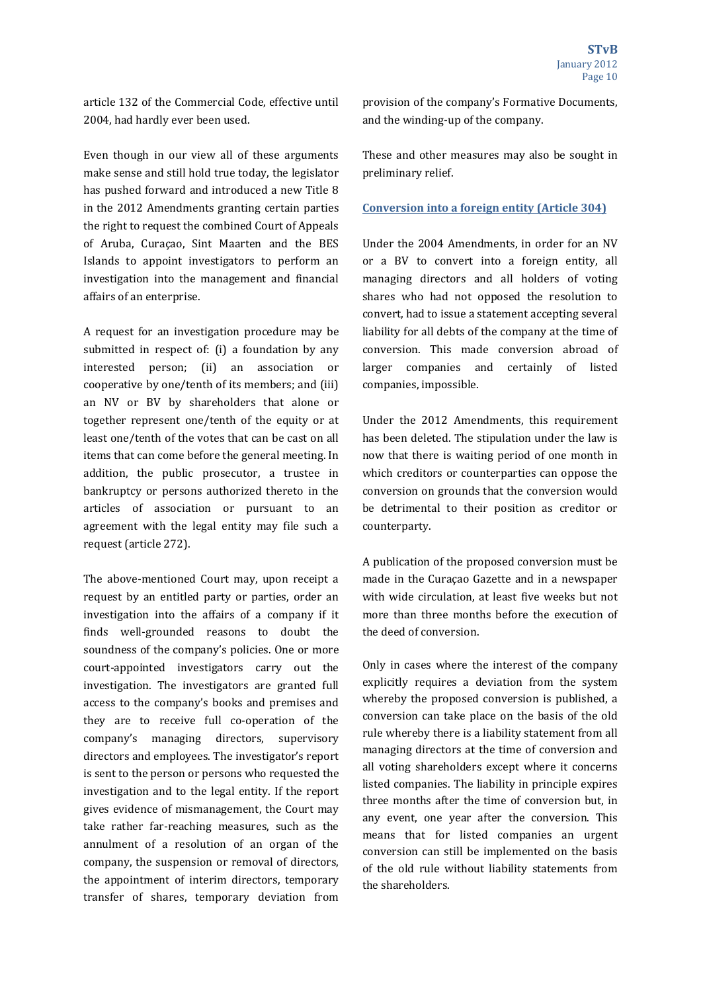article 132 of the Commercial Code, effective until 2004, had hardly ever been used.

Even though in our view all of these arguments make sense and still hold true today, the legislator has pushed forward and introduced a new Title 8 in the 2012 Amendments granting certain parties the right to request the combined Court of Appeals of Aruba, Curaçao, Sint Maarten and the BES Islands to appoint investigators to perform an investigation into the management and financial affairs of an enterprise.

A request for an investigation procedure may be submitted in respect of:  $(i)$  a foundation by any interested person; (ii) an association or cooperative by one/tenth of its members; and (iii) an NV or BV by shareholders that alone or together represent one/tenth of the equity or at least one/tenth of the votes that can be cast on all items that can come before the general meeting. In addition, the public prosecutor, a trustee in bankruptcy or persons authorized thereto in the articles of association or pursuant to an agreement with the legal entity may file such a request (article 272).

The above-mentioned Court may, upon receipt a request by an entitled party or parties, order an investigation into the affairs of a company if it finds well-grounded reasons to doubt the soundness of the company's policies. One or more court-appointed investigators carry out the investigation. The investigators are granted full access to the company's books and premises and they are to receive full co-operation of the company's managing directors, supervisory directors and employees. The investigator's report is sent to the person or persons who requested the investigation and to the legal entity. If the report gives evidence of mismanagement, the Court may take rather far-reaching measures, such as the annulment of a resolution of an organ of the company, the suspension or removal of directors, the appointment of interim directors, temporary transfer of shares, temporary deviation from 

provision of the company's Formative Documents, and the winding-up of the company.

These and other measures may also be sought in preliminary relief.

#### **Conversion into a foreign entity (Article 304)**

Under the 2004 Amendments, in order for an NV or a BV to convert into a foreign entity, all managing directors and all holders of voting shares who had not opposed the resolution to convert, had to issue a statement accepting several liability for all debts of the company at the time of conversion. This made conversion abroad of larger companies and certainly of listed companies, impossible.

Under the 2012 Amendments, this requirement has been deleted. The stipulation under the law is now that there is waiting period of one month in which creditors or counterparties can oppose the conversion on grounds that the conversion would be detrimental to their position as creditor or counterparty. 

A publication of the proposed conversion must be made in the Curaçao Gazette and in a newspaper with wide circulation, at least five weeks but not more than three months before the execution of the deed of conversion.

Only in cases where the interest of the company explicitly requires a deviation from the system whereby the proposed conversion is published, a conversion can take place on the basis of the old rule whereby there is a liability statement from all managing directors at the time of conversion and all voting shareholders except where it concerns listed companies. The liability in principle expires three months after the time of conversion but, in any event, one year after the conversion. This means that for listed companies an urgent conversion can still be implemented on the basis of the old rule without liability statements from the shareholders.